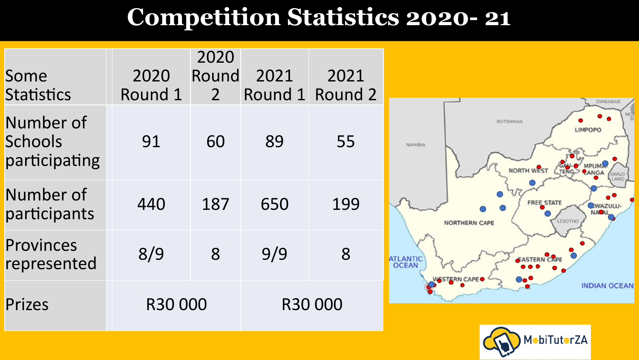## **Competition Statistics 2020- 21**

| Some<br>Statistics                    | 2020<br>Round 1 | 2020<br>Round<br>2 <sup>1</sup> | 2021 | 2021<br>Round 1 Round 2 | ZIMBABWI                                                                       |
|---------------------------------------|-----------------|---------------------------------|------|-------------------------|--------------------------------------------------------------------------------|
| Number of<br>Schools<br>participating | 91              | 60                              | 89   | 55                      | <b>BOTSWANA</b><br><b>LIMPOPO</b><br>NAMIBIA<br>NORTH WEST<br><b>SWAZI</b>     |
| Number of<br>participants             | 440             | 187                             | 650  | 199                     | FREE STATE<br><b>WAZULU</b><br><b>NACAL</b><br>LESOTHO<br><b>NORTHERN CAPE</b> |
| Provinces<br>represented              | 8/9             | 8                               | 9/9  | 8                       | EASTERN CAPE<br>ATLANTIC<br>OCEAN<br>NESTERN CAPE                              |
| Prizes                                | R30 000         |                                 |      | R30 000                 | <b>INDIAN OCEAN</b>                                                            |

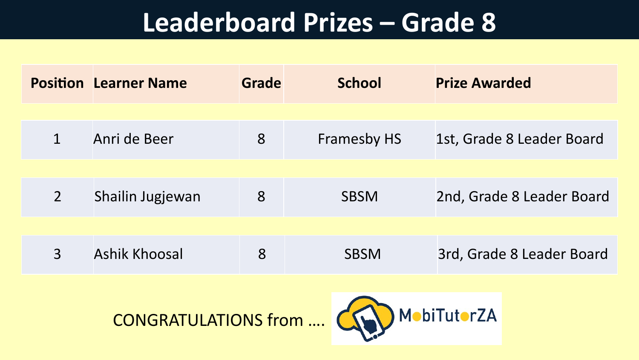|                | <b>Position Learner Name</b> | Grade | <b>School</b>      | <b>Prize Awarded</b>      |
|----------------|------------------------------|-------|--------------------|---------------------------|
|                |                              |       |                    |                           |
| 1              | Anri de Beer                 | 8     | <b>Framesby HS</b> | 1st, Grade 8 Leader Board |
|                |                              |       |                    |                           |
| $\overline{2}$ | Shailin Jugjewan             | 8     | <b>SBSM</b>        | 2nd, Grade 8 Leader Board |
|                |                              |       |                    |                           |
| 3              | Ashik Khoosal                | 8     | <b>SBSM</b>        | 3rd, Grade 8 Leader Board |



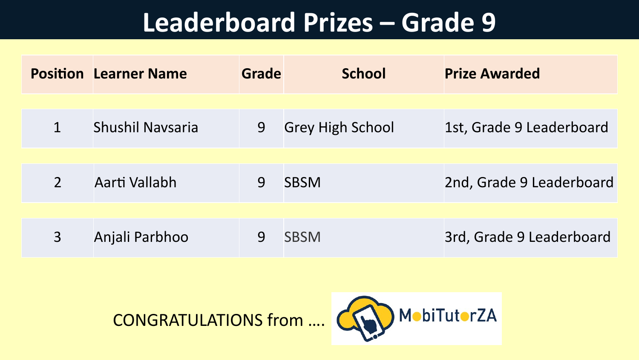|                          | <b>Position Learner Name</b> | Grade | <b>School</b>           | <b>Prize Awarded</b>     |
|--------------------------|------------------------------|-------|-------------------------|--------------------------|
|                          |                              |       |                         |                          |
|                          | Shushil Navsaria             | 9     | <b>Grey High School</b> | 1st, Grade 9 Leaderboard |
|                          |                              |       |                         |                          |
| $\overline{\mathcal{L}}$ | Aarti Vallabh                | 9     | <b>SBSM</b>             | 2nd, Grade 9 Leaderboard |
|                          |                              |       |                         |                          |
| 3                        | Anjali Parbhoo               | 9     | <b>SBSM</b>             | 3rd, Grade 9 Leaderboard |



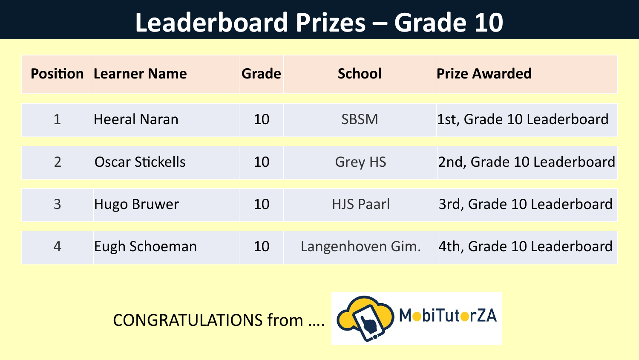|                | <b>Position Learner Name</b> | Grade | <b>School</b>    | <b>Prize Awarded</b>      |
|----------------|------------------------------|-------|------------------|---------------------------|
|                | <b>Heeral Naran</b>          | 10    | <b>SBSM</b>      | 1st, Grade 10 Leaderboard |
|                | Oscar Stickells              | 10    | <b>Grey HS</b>   | 2nd, Grade 10 Leaderboard |
| $\overline{3}$ | <b>Hugo Bruwer</b>           | 10    | <b>HJS Paarl</b> | 3rd, Grade 10 Leaderboard |
| $\overline{4}$ | Eugh Schoeman                | 10    | Langenhoven Gim. | 4th, Grade 10 Leaderboard |



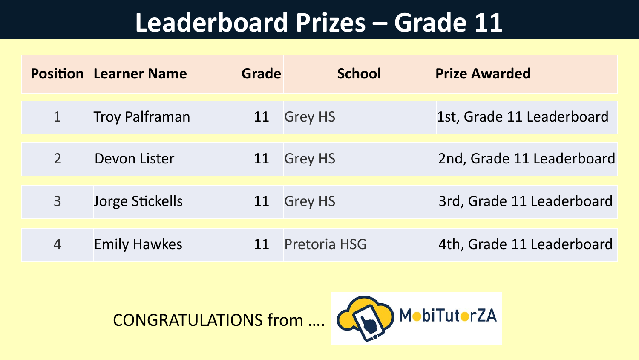|                | <b>Position Learner Name</b> | Grade | <b>School</b>       | <b>Prize Awarded</b>      |
|----------------|------------------------------|-------|---------------------|---------------------------|
|                | <b>Troy Palframan</b>        | 11    | <b>Grey HS</b>      | 1st, Grade 11 Leaderboard |
|                | Devon Lister                 | 11    | <b>Grey HS</b>      | 2nd, Grade 11 Leaderboard |
| $\overline{3}$ | Jorge Stickells              | 11    | <b>Grey HS</b>      | 3rd, Grade 11 Leaderboard |
|                | <b>Emily Hawkes</b>          | 11    | <b>Pretoria HSG</b> | 4th, Grade 11 Leaderboard |



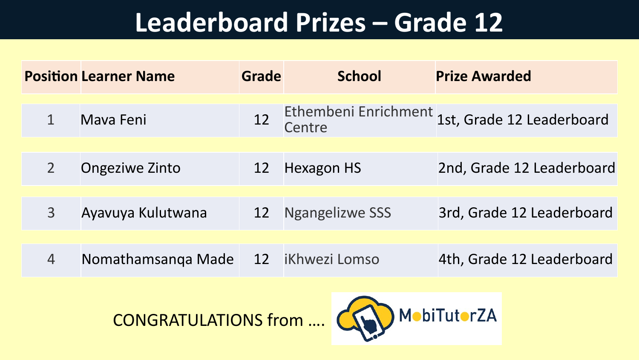|                | <b>Position Learner Name</b> | Grade     | <b>School</b>          | <b>Prize Awarded</b>                           |
|----------------|------------------------------|-----------|------------------------|------------------------------------------------|
|                | Mava Feni                    | 12        | Centre                 | Ethembeni Enrichment 1st, Grade 12 Leaderboard |
| $\overline{2}$ | <b>Ongeziwe Zinto</b>        | <b>12</b> | <b>Hexagon HS</b>      | 2nd, Grade 12 Leaderboard                      |
| 3              | Ayavuya Kulutwana            | <b>12</b> | <b>Ngangelizwe SSS</b> | 3rd, Grade 12 Leaderboard                      |
| 4              | Nomathamsanga Made           |           | 12 iKhwezi Lomso       | 4th, Grade 12 Leaderboard                      |



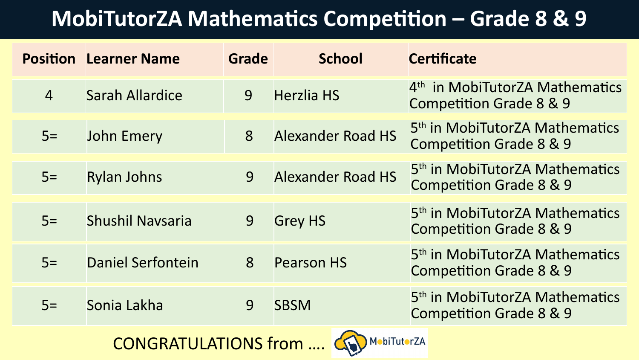#### **MobiTutorZA Mathematics Competition – Grade 8 & 9**

|                                             | <b>Position Learner Name</b> | <b>Grade</b> | <b>School</b>            | <b>Certificate</b>                                                               |
|---------------------------------------------|------------------------------|--------------|--------------------------|----------------------------------------------------------------------------------|
| $\overline{4}$                              | <b>Sarah Allardice</b>       | 9            | <b>Herzlia HS</b>        | 4 <sup>th</sup> in MobiTutorZA Mathematics<br><b>Competition Grade 8 &amp; 9</b> |
| $5=$                                        | <b>John Emery</b>            | 8            | <b>Alexander Road HS</b> | 5 <sup>th</sup> in MobiTutorZA Mathematics<br><b>Competition Grade 8 &amp; 9</b> |
| $5=$                                        | <b>Rylan Johns</b>           | 9            | <b>Alexander Road HS</b> | 5 <sup>th</sup> in MobiTutorZA Mathematics<br><b>Competition Grade 8 &amp; 9</b> |
| $5=$                                        | Shushil Navsaria             | 9            | <b>Grey HS</b>           | 5 <sup>th</sup> in MobiTutorZA Mathematics<br><b>Competition Grade 8 &amp; 9</b> |
| $5=$                                        | Daniel Serfontein            | 8            | <b>Pearson HS</b>        | 5 <sup>th</sup> in MobiTutorZA Mathematics<br><b>Competition Grade 8 &amp; 9</b> |
| $5=$                                        | Sonia Lakha                  | 9            | <b>SBSM</b>              | 5 <sup>th</sup> in MobiTutorZA Mathematics<br><b>Competition Grade 8 &amp; 9</b> |
| MobiTutorZA<br><b>CONGRATULATIONS from </b> |                              |              |                          |                                                                                  |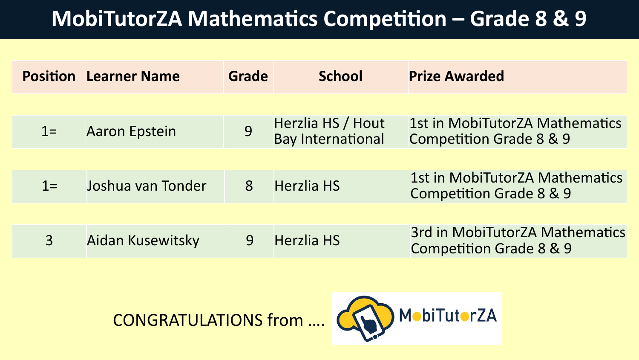#### **MobiTutorZA Mathematics Competition – Grade 8 & 9**

|                | <b>Position Learner Name</b> | Grade | <b>School</b>                                 | <b>Prize Awarded</b>                                                        |
|----------------|------------------------------|-------|-----------------------------------------------|-----------------------------------------------------------------------------|
|                |                              |       |                                               |                                                                             |
| $1=$           | <b>Aaron Epstein</b>         | 9     | Herzlia HS / Hout<br><b>Bay International</b> | 1st in MobiTutorZA Mathematics<br><b>Competition Grade 8 &amp; 9</b>        |
|                |                              |       |                                               |                                                                             |
| $1 =$          | Joshua van Tonder            | 8     | <b>Herzlia HS</b>                             | 1st in MobiTutorZA Mathematics<br>Competition Grade 8 & 9                   |
|                |                              |       |                                               |                                                                             |
| $\overline{3}$ | Aidan Kusewitsky             | 9     | <b>Herzlia HS</b>                             | <b>3rd in MobiTutorZA Mathematics</b><br><b>Competition Grade 8 &amp; 9</b> |



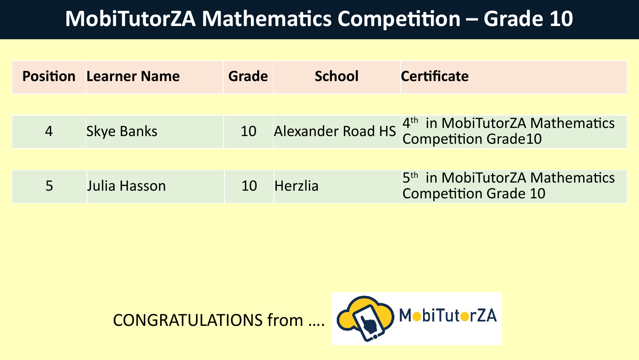#### **MobiTutorZA Mathematics Competition – Grade 10**

|                | <b>Position Learner Name</b> | Grade | <b>School</b>  | <b>Certificate</b>                                                                  |
|----------------|------------------------------|-------|----------------|-------------------------------------------------------------------------------------|
|                |                              |       |                |                                                                                     |
| $\overline{4}$ | <b>Skye Banks</b>            | 10    |                | Alexander Road HS 4 <sup>th</sup> in MobiTutorZA Mathematics<br>Competition Grade10 |
|                |                              |       |                |                                                                                     |
|                | Julia Hasson                 | 10    | <b>Herzlia</b> | 5 <sup>th</sup> in MobiTutorZA Mathematics<br><b>Competition Grade 10</b>           |



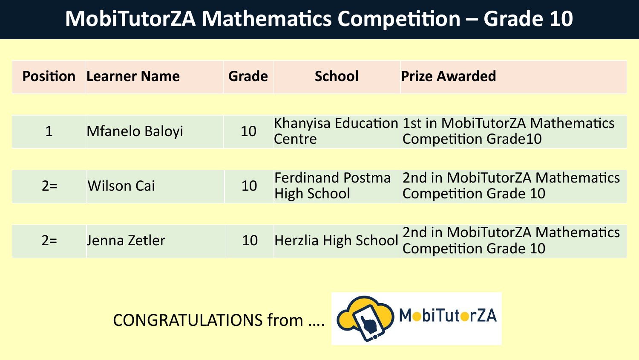#### **MobiTutorZA Mathematics Competition – Grade 10**

|      | <b>Position Learner Name</b> | Grade | <b>School</b>                                 | <b>Prize Awarded</b>                                                            |
|------|------------------------------|-------|-----------------------------------------------|---------------------------------------------------------------------------------|
|      |                              |       |                                               |                                                                                 |
|      | <b>Mfanelo Baloyi</b>        | 10    | Centre                                        | Khanyisa Education 1st in MobiTutorZA Mathematics<br><b>Competition Grade10</b> |
|      |                              |       |                                               |                                                                                 |
| $2=$ | <b>Wilson Cai</b>            | 10    | <b>Ferdinand Postma</b><br><b>High School</b> | 2nd in MobiTutorZA Mathematics<br><b>Competition Grade 10</b>                   |
|      |                              |       |                                               |                                                                                 |
| $2=$ | Jenna Zetler                 | 10    |                                               | Herzlia High School 2nd in MobiTutorZA Mathematics<br>Competition Grade 10      |



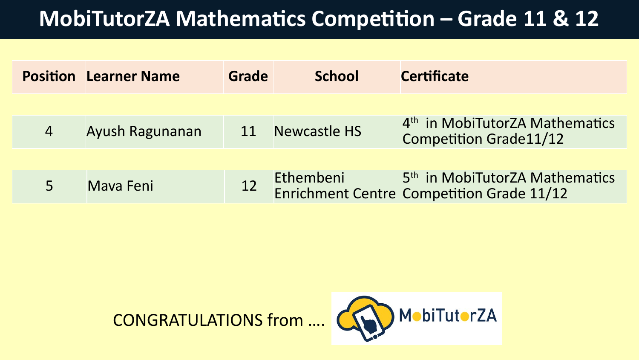#### **MobiTutorZA Mathematics Competition – Grade 11 & 12**

|                | <b>Position Learner Name</b> | Grade | <b>School</b> | <b>Certificate</b>                                                                      |
|----------------|------------------------------|-------|---------------|-----------------------------------------------------------------------------------------|
|                |                              |       |               |                                                                                         |
| $\overline{4}$ | Ayush Ragunanan              | 11    | Newcastle HS  | 4 <sup>th</sup> in MobiTutorZA Mathematics<br><b>Competition Grade11/12</b>             |
|                |                              |       |               |                                                                                         |
|                | Mava Feni                    | 12    | Ethembeni     | 5 <sup>th</sup> in MobiTutorZA Mathematics<br>Enrichment Centre Competition Grade 11/12 |



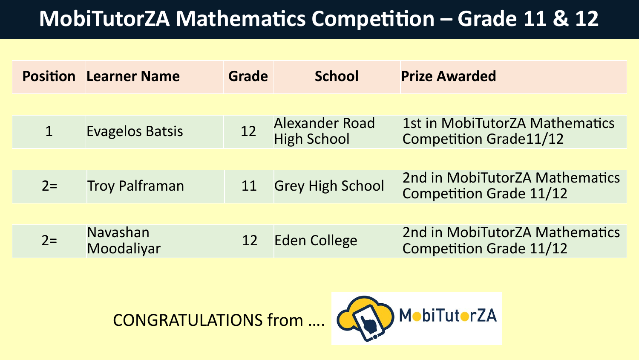#### **MobiTutorZA Mathematics Competition – Grade 11 & 12**

| <b>Position Learner Name</b> | Grade | <b>School</b>         | <b>Prize Awarded</b>                                                 |
|------------------------------|-------|-----------------------|----------------------------------------------------------------------|
|                              |       |                       |                                                                      |
| <b>Evagelos Batsis</b>       | 12    | <b>Alexander Road</b> | 1st in MobiTutorZA Mathematics<br><b>Competition Grade11/12</b>      |
|                              |       |                       |                                                                      |
| <b>Troy Palframan</b>        | 11    |                       | 2nd in MobiTutorZA Mathematics<br><b>Competition Grade 11/12</b>     |
|                              |       |                       |                                                                      |
| Navashan<br>Moodaliyar       | 12    |                       | 2nd in MobiTutorZA Mathematics<br><b>Competition Grade 11/12</b>     |
|                              |       |                       | <b>High School</b><br><b>Grey High School</b><br><b>Eden College</b> |